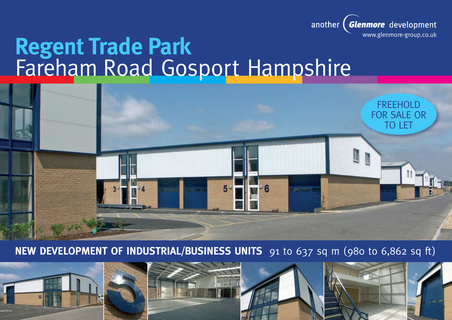

# **Regent Trade Park** Fareham Road Gosport Hampshire



**NEW DEVELOPMENT OF INDUSTRIAL/BUSINESS UNITS** 91 to 637 sq m (980 to 6,862 sq ft)